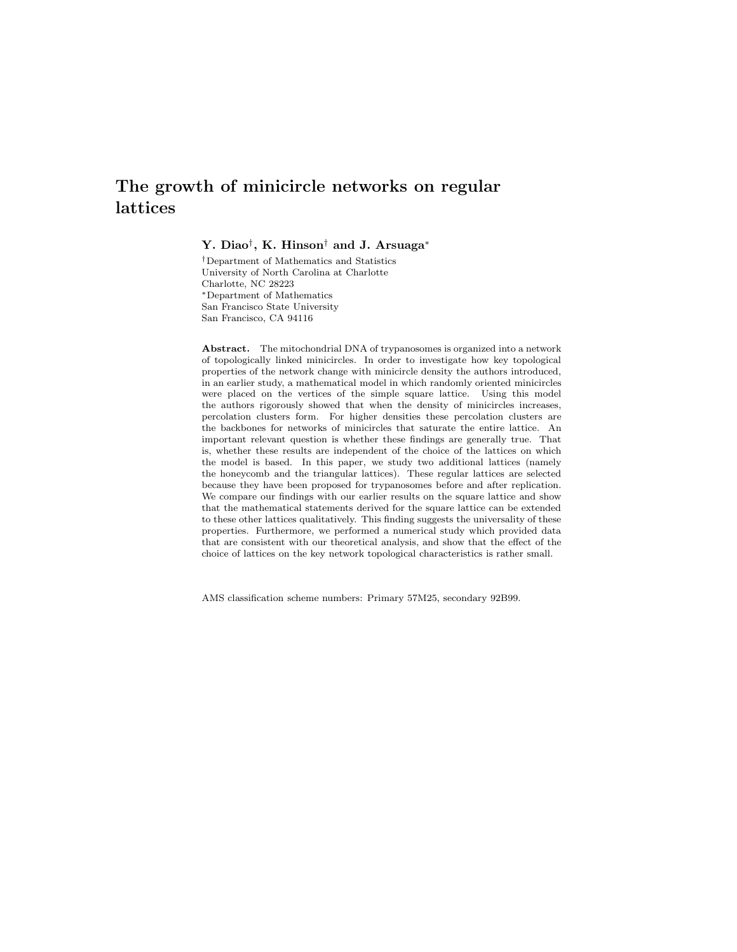# The growth of minicircle networks on regular lattices

Y. Diao† , K. Hinson† and J. Arsuaga<sup>∗</sup>

†Department of Mathematics and Statistics University of North Carolina at Charlotte Charlotte, NC 28223 <sup>∗</sup>Department of Mathematics San Francisco State University San Francisco, CA 94116

Abstract. The mitochondrial DNA of trypanosomes is organized into a network of topologically linked minicircles. In order to investigate how key topological properties of the network change with minicircle density the authors introduced, in an earlier study, a mathematical model in which randomly oriented minicircles were placed on the vertices of the simple square lattice. Using this model the authors rigorously showed that when the density of minicircles increases, percolation clusters form. For higher densities these percolation clusters are the backbones for networks of minicircles that saturate the entire lattice. An important relevant question is whether these findings are generally true. That is, whether these results are independent of the choice of the lattices on which the model is based. In this paper, we study two additional lattices (namely the honeycomb and the triangular lattices). These regular lattices are selected because they have been proposed for trypanosomes before and after replication. We compare our findings with our earlier results on the square lattice and show that the mathematical statements derived for the square lattice can be extended to these other lattices qualitatively. This finding suggests the universality of these properties. Furthermore, we performed a numerical study which provided data that are consistent with our theoretical analysis, and show that the effect of the choice of lattices on the key network topological characteristics is rather small.

AMS classification scheme numbers: Primary 57M25, secondary 92B99.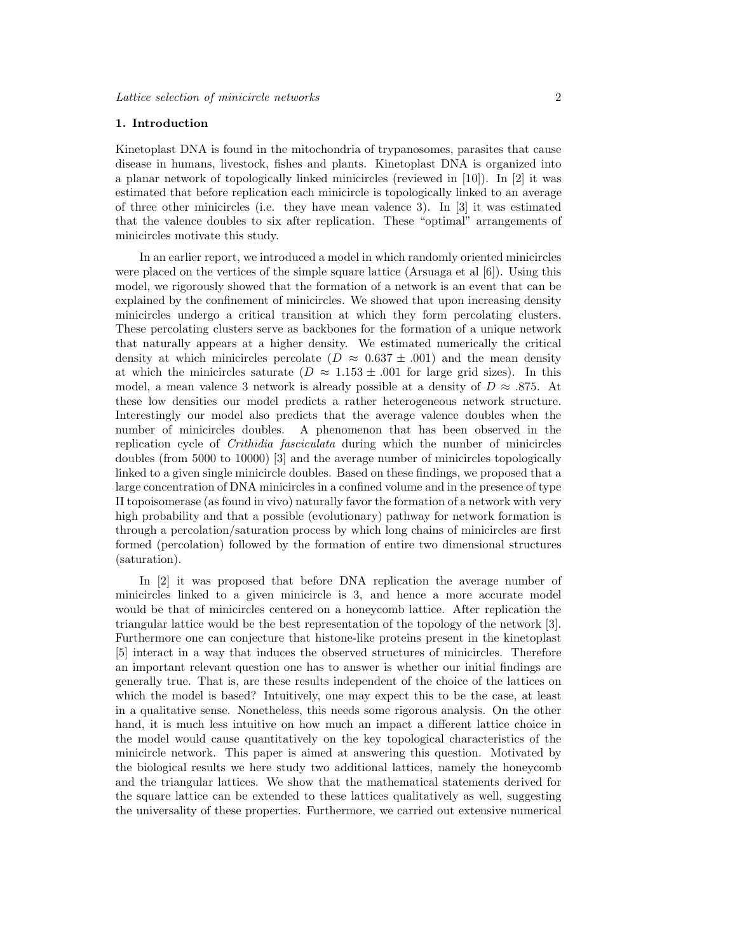# 1. Introduction

Kinetoplast DNA is found in the mitochondria of trypanosomes, parasites that cause disease in humans, livestock, fishes and plants. Kinetoplast DNA is organized into a planar network of topologically linked minicircles (reviewed in [10]). In [2] it was estimated that before replication each minicircle is topologically linked to an average of three other minicircles (i.e. they have mean valence 3). In [3] it was estimated that the valence doubles to six after replication. These "optimal" arrangements of minicircles motivate this study.

In an earlier report, we introduced a model in which randomly oriented minicircles were placed on the vertices of the simple square lattice (Arsuaga et al  $[6]$ ). Using this model, we rigorously showed that the formation of a network is an event that can be explained by the confinement of minicircles. We showed that upon increasing density minicircles undergo a critical transition at which they form percolating clusters. These percolating clusters serve as backbones for the formation of a unique network that naturally appears at a higher density. We estimated numerically the critical density at which minicircles percolate ( $D \approx 0.637 \pm .001$ ) and the mean density at which the minicircles saturate ( $D \approx 1.153 \pm .001$  for large grid sizes). In this model, a mean valence 3 network is already possible at a density of  $D \approx .875$ . At these low densities our model predicts a rather heterogeneous network structure. Interestingly our model also predicts that the average valence doubles when the number of minicircles doubles. A phenomenon that has been observed in the replication cycle of *Crithidia fasciculata* during which the number of minicircles doubles (from 5000 to 10000) [3] and the average number of minicircles topologically linked to a given single minicircle doubles. Based on these findings, we proposed that a large concentration of DNA minicircles in a confined volume and in the presence of type II topoisomerase (as found in vivo) naturally favor the formation of a network with very high probability and that a possible (evolutionary) pathway for network formation is through a percolation/saturation process by which long chains of minicircles are first formed (percolation) followed by the formation of entire two dimensional structures (saturation).

In [2] it was proposed that before DNA replication the average number of minicircles linked to a given minicircle is 3, and hence a more accurate model would be that of minicircles centered on a honeycomb lattice. After replication the triangular lattice would be the best representation of the topology of the network [3]. Furthermore one can conjecture that histone-like proteins present in the kinetoplast [5] interact in a way that induces the observed structures of minicircles. Therefore an important relevant question one has to answer is whether our initial findings are generally true. That is, are these results independent of the choice of the lattices on which the model is based? Intuitively, one may expect this to be the case, at least in a qualitative sense. Nonetheless, this needs some rigorous analysis. On the other hand, it is much less intuitive on how much an impact a different lattice choice in the model would cause quantitatively on the key topological characteristics of the minicircle network. This paper is aimed at answering this question. Motivated by the biological results we here study two additional lattices, namely the honeycomb and the triangular lattices. We show that the mathematical statements derived for the square lattice can be extended to these lattices qualitatively as well, suggesting the universality of these properties. Furthermore, we carried out extensive numerical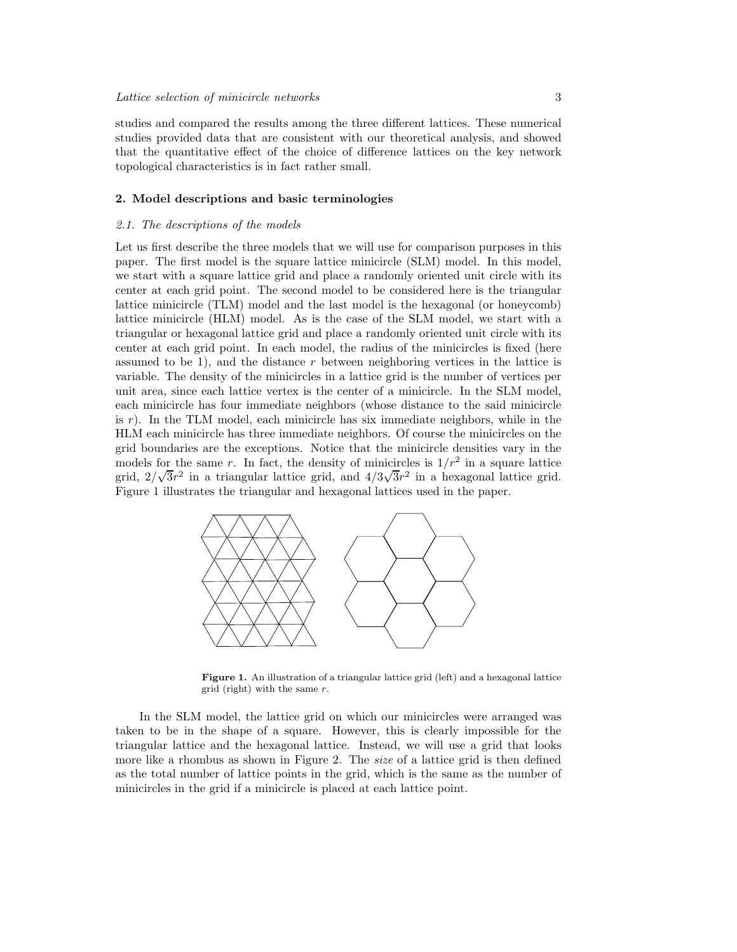studies and compared the results among the three different lattices. These numerical studies provided data that are consistent with our theoretical analysis, and showed that the quantitative effect of the choice of difference lattices on the key network topological characteristics is in fact rather small.

# 2. Model descriptions and basic terminologies

# 2.1. The descriptions of the models

Let us first describe the three models that we will use for comparison purposes in this paper. The first model is the square lattice minicircle (SLM) model. In this model, we start with a square lattice grid and place a randomly oriented unit circle with its center at each grid point. The second model to be considered here is the triangular lattice minicircle (TLM) model and the last model is the hexagonal (or honeycomb) lattice minicircle (HLM) model. As is the case of the SLM model, we start with a triangular or hexagonal lattice grid and place a randomly oriented unit circle with its center at each grid point. In each model, the radius of the minicircles is fixed (here assumed to be 1), and the distance r between neighboring vertices in the lattice is variable. The density of the minicircles in a lattice grid is the number of vertices per unit area, since each lattice vertex is the center of a minicircle. In the SLM model, each minicircle has four immediate neighbors (whose distance to the said minicircle is  $r$ ). In the TLM model, each minicircle has six immediate neighbors, while in the HLM each minicircle has three immediate neighbors. Of course the minicircles on the grid boundaries are the exceptions. Notice that the minicircle densities vary in the models for the same r. In fact, the density of minicircles is  $1/r^2$  in a square lattice grid,  $2/\sqrt{3}r^2$  in a triangular lattice grid, and  $4/3\sqrt{3}r^2$  in a hexagonal lattice grid. Figure 1 illustrates the triangular and hexagonal lattices used in the paper.



Figure 1. An illustration of a triangular lattice grid (left) and a hexagonal lattice grid (right) with the same  $r$ .

In the SLM model, the lattice grid on which our minicircles were arranged was taken to be in the shape of a square. However, this is clearly impossible for the triangular lattice and the hexagonal lattice. Instead, we will use a grid that looks more like a rhombus as shown in Figure 2. The *size* of a lattice grid is then defined as the total number of lattice points in the grid, which is the same as the number of minicircles in the grid if a minicircle is placed at each lattice point.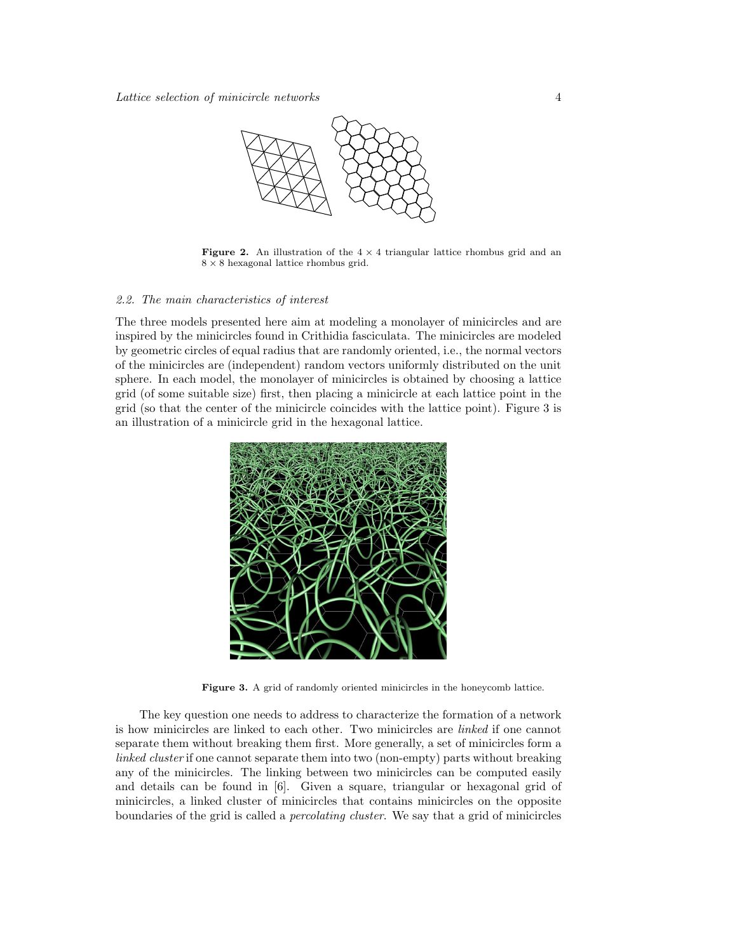

Figure 2. An illustration of the  $4 \times 4$  triangular lattice rhombus grid and an  $8 \times 8$  hexagonal lattice rhombus grid.

# 2.2. The main characteristics of interest

The three models presented here aim at modeling a monolayer of minicircles and are inspired by the minicircles found in Crithidia fasciculata. The minicircles are modeled by geometric circles of equal radius that are randomly oriented, i.e., the normal vectors of the minicircles are (independent) random vectors uniformly distributed on the unit sphere. In each model, the monolayer of minicircles is obtained by choosing a lattice grid (of some suitable size) first, then placing a minicircle at each lattice point in the grid (so that the center of the minicircle coincides with the lattice point). Figure 3 is an illustration of a minicircle grid in the hexagonal lattice.



Figure 3. A grid of randomly oriented minicircles in the honeycomb lattice.

The key question one needs to address to characterize the formation of a network is how minicircles are linked to each other. Two minicircles are linked if one cannot separate them without breaking them first. More generally, a set of minicircles form a linked cluster if one cannot separate them into two (non-empty) parts without breaking any of the minicircles. The linking between two minicircles can be computed easily and details can be found in [6]. Given a square, triangular or hexagonal grid of minicircles, a linked cluster of minicircles that contains minicircles on the opposite boundaries of the grid is called a *percolating cluster*. We say that a grid of minicircles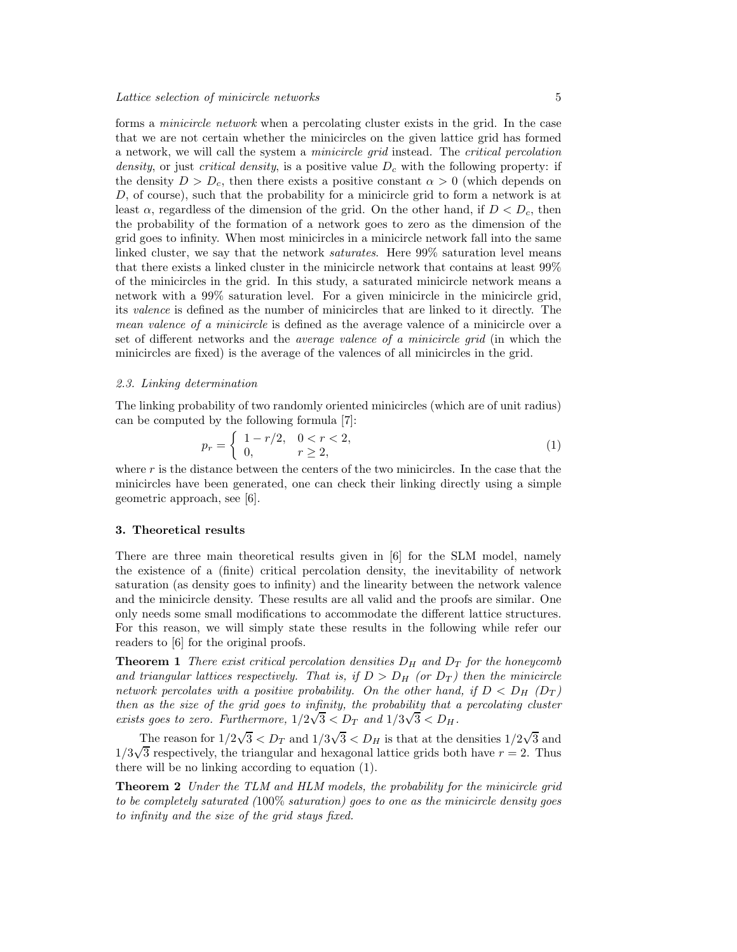forms a *minicircle network* when a percolating cluster exists in the grid. In the case that we are not certain whether the minicircles on the given lattice grid has formed a network, we will call the system a *minicircle grid* instead. The *critical percolation* density, or just critical density, is a positive value  $D_c$  with the following property: if the density  $D > D_c$ , then there exists a positive constant  $\alpha > 0$  (which depends on D, of course), such that the probability for a minicircle grid to form a network is at least  $\alpha$ , regardless of the dimension of the grid. On the other hand, if  $D < D_c$ , then the probability of the formation of a network goes to zero as the dimension of the grid goes to infinity. When most minicircles in a minicircle network fall into the same linked cluster, we say that the network *saturates*. Here 99% saturation level means that there exists a linked cluster in the minicircle network that contains at least 99% of the minicircles in the grid. In this study, a saturated minicircle network means a network with a 99% saturation level. For a given minicircle in the minicircle grid, its valence is defined as the number of minicircles that are linked to it directly. The mean valence of a minicircle is defined as the average valence of a minicircle over a set of different networks and the *average valence of a minicircle grid* (in which the minicircles are fixed) is the average of the valences of all minicircles in the grid.

# 2.3. Linking determination

The linking probability of two randomly oriented minicircles (which are of unit radius) can be computed by the following formula [7]:

$$
p_r = \begin{cases} 1 - r/2, & 0 < r < 2, \\ 0, & r \ge 2, \end{cases}
$$
 (1)

where  $r$  is the distance between the centers of the two minicircles. In the case that the minicircles have been generated, one can check their linking directly using a simple geometric approach, see [6].

# 3. Theoretical results

There are three main theoretical results given in [6] for the SLM model, namely the existence of a (finite) critical percolation density, the inevitability of network saturation (as density goes to infinity) and the linearity between the network valence and the minicircle density. These results are all valid and the proofs are similar. One only needs some small modifications to accommodate the different lattice structures. For this reason, we will simply state these results in the following while refer our readers to [6] for the original proofs.

**Theorem 1** There exist critical percolation densities  $D_H$  and  $D_T$  for the honeycomb and triangular lattices respectively. That is, if  $D > D_H$  (or  $D_T$ ) then the minicircle network percolates with a positive probability. On the other hand, if  $D < D_H$  ( $D_T$ ) then as the size of the grid goes to infinity, the probability that a percolating cluster exists goes to zero. Furthermore,  $1/2\sqrt{3} < D_T$  and  $1/3\sqrt{3} < D_H$ .

The reason for  $1/2\sqrt{3} < D_T$  and  $1/3\sqrt{3} < D_H$  is that at the densities  $1/2\sqrt{3}$  and  $1/3\sqrt{3}$  respectively, the triangular and hexagonal lattice grids both have  $r = 2$ . Thus there will be no linking according to equation (1).

**Theorem 2** Under the TLM and HLM models, the probability for the minicircle grid to be completely saturated  $(100\%$  saturation) goes to one as the minicircle density goes to infinity and the size of the grid stays fixed.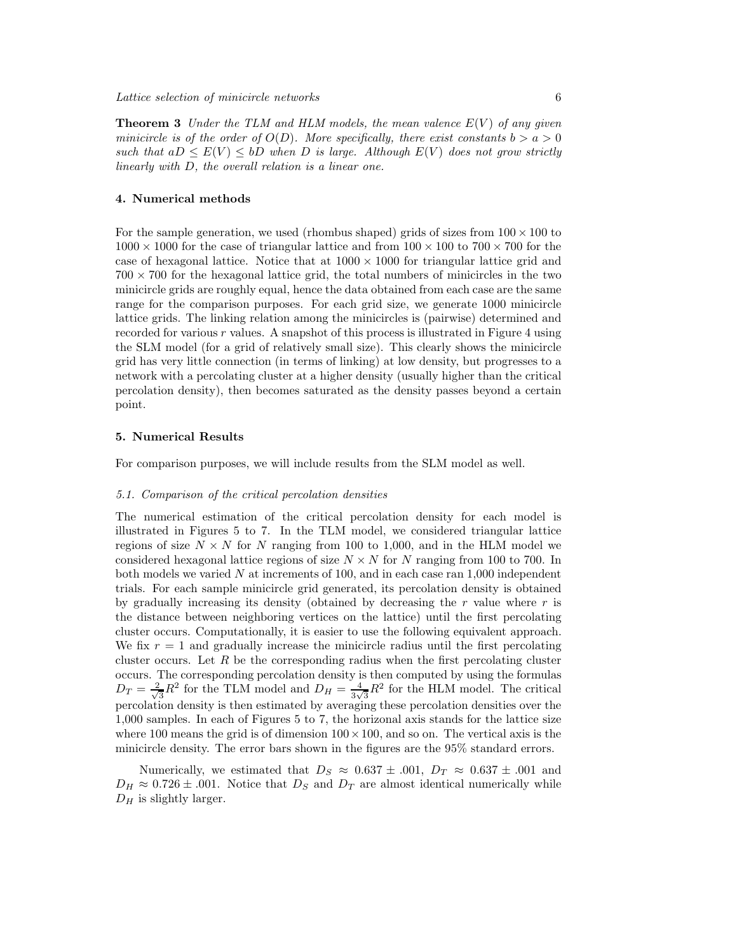**Theorem 3** Under the TLM and HLM models, the mean valence  $E(V)$  of any given minicircle is of the order of  $O(D)$ . More specifically, there exist constants  $b > a > 0$ such that  $aD \leq E(V) \leq bD$  when D is large. Although  $E(V)$  does not grow strictly linearly with D, the overall relation is a linear one.

# 4. Numerical methods

For the sample generation, we used (rhombus shaped) grids of sizes from  $100 \times 100$  to  $1000 \times 1000$  for the case of triangular lattice and from  $100 \times 100$  to  $700 \times 700$  for the case of hexagonal lattice. Notice that at  $1000 \times 1000$  for triangular lattice grid and  $700 \times 700$  for the hexagonal lattice grid, the total numbers of minicircles in the two minicircle grids are roughly equal, hence the data obtained from each case are the same range for the comparison purposes. For each grid size, we generate 1000 minicircle lattice grids. The linking relation among the minicircles is (pairwise) determined and recorded for various r values. A snapshot of this process is illustrated in Figure 4 using the SLM model (for a grid of relatively small size). This clearly shows the minicircle grid has very little connection (in terms of linking) at low density, but progresses to a network with a percolating cluster at a higher density (usually higher than the critical percolation density), then becomes saturated as the density passes beyond a certain point.

# 5. Numerical Results

For comparison purposes, we will include results from the SLM model as well.

# 5.1. Comparison of the critical percolation densities

The numerical estimation of the critical percolation density for each model is illustrated in Figures 5 to 7. In the TLM model, we considered triangular lattice regions of size  $N \times N$  for N ranging from 100 to 1,000, and in the HLM model we considered hexagonal lattice regions of size  $N \times N$  for N ranging from 100 to 700. In both models we varied  $N$  at increments of 100, and in each case ran 1,000 independent trials. For each sample minicircle grid generated, its percolation density is obtained by gradually increasing its density (obtained by decreasing the  $r$  value where  $r$  is the distance between neighboring vertices on the lattice) until the first percolating cluster occurs. Computationally, it is easier to use the following equivalent approach. We fix  $r = 1$  and gradually increase the minicircle radius until the first percolating cluster occurs. Let  $R$  be the corresponding radius when the first percolating cluster occurs. The corresponding percolation density is then computed by using the formulas  $D_T = \frac{2}{\sqrt{2}}$  $\frac{1}{3}R^2$  for the TLM model and  $D_H = \frac{4}{3\sqrt{3}}R^2$  for the HLM model. The critical percolation density is then estimated by averaging these percolation densities over the 1,000 samples. In each of Figures 5 to 7, the horizonal axis stands for the lattice size where 100 means the grid is of dimension  $100 \times 100$ , and so on. The vertical axis is the minicircle density. The error bars shown in the figures are the 95% standard errors.

Numerically, we estimated that  $D_S \approx 0.637 \pm .001$ ,  $D_T \approx 0.637 \pm .001$  and  $D_H \approx 0.726 \pm .001$ . Notice that  $D_S$  and  $D_T$  are almost identical numerically while  $D_H$  is slightly larger.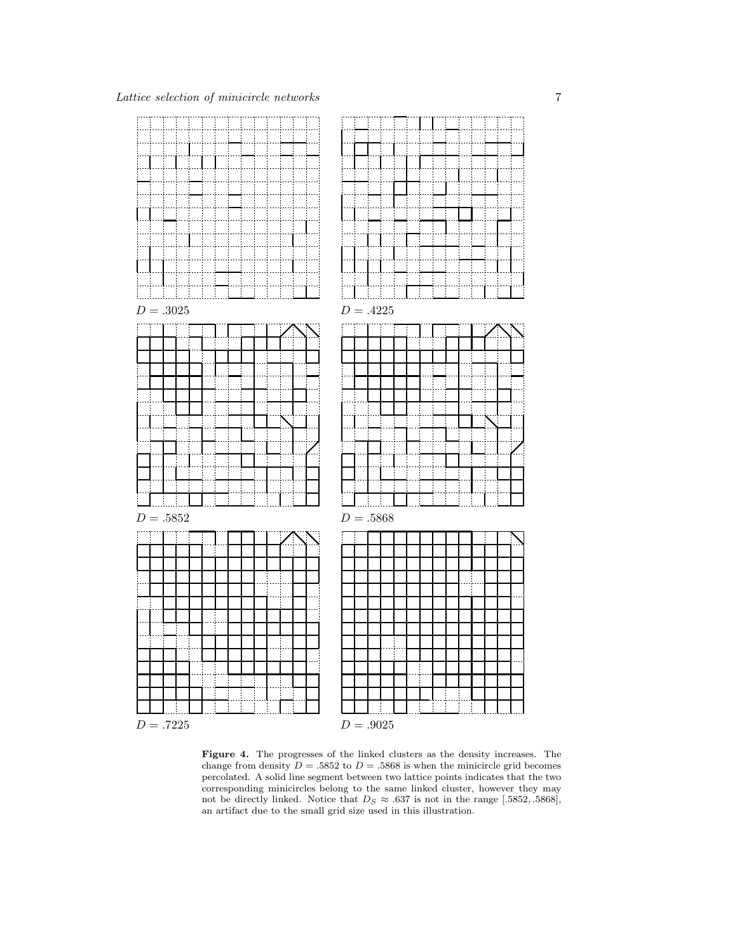

Figure 4. The progresses of the linked clusters as the density increases. The change from density  $D = .5852$  to  $D = .5868$  is when the minicircle grid becomes percolated. A solid line segment between two lattice points indicates that the two corresponding minicircles belong to the same linked cluster, however they may not be directly linked. Notice that  $D_S \approx .637$  is not in the range [.5852, .5868], an artifact due to the small grid size used in this illustration.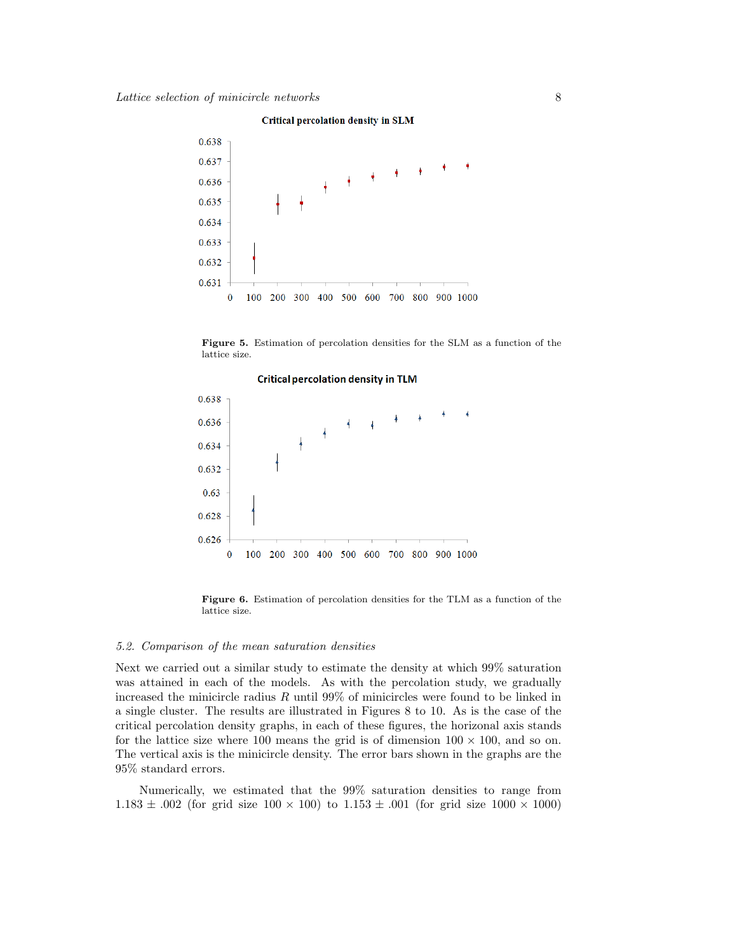

#### **Critical percolation density in SLM**

Figure 5. Estimation of percolation densities for the SLM as a function of the lattice size.



Figure 6. Estimation of percolation densities for the TLM as a function of the lattice size.

# 5.2. Comparison of the mean saturation densities

Next we carried out a similar study to estimate the density at which 99% saturation was attained in each of the models. As with the percolation study, we gradually increased the minicircle radius  $R$  until 99% of minicircles were found to be linked in a single cluster. The results are illustrated in Figures 8 to 10. As is the case of the critical percolation density graphs, in each of these figures, the horizonal axis stands for the lattice size where 100 means the grid is of dimension  $100 \times 100$ , and so on. The vertical axis is the minicircle density. The error bars shown in the graphs are the 95% standard errors.

Numerically, we estimated that the 99% saturation densities to range from  $1.183 \pm .002$  (for grid size  $100 \times 100$ ) to  $1.153 \pm .001$  (for grid size  $1000 \times 1000$ )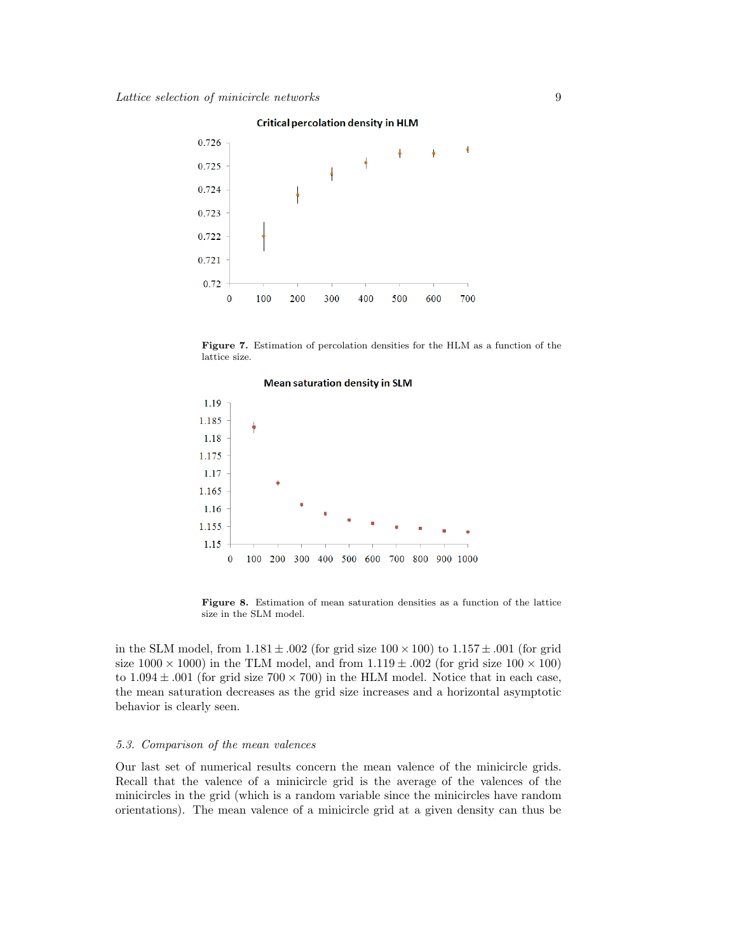0.726 ٠  $\ddagger$ ķ  $\frac{1}{2}$ 0.725 0.724 0.723 0.722 0.721 0.72  $\mathbf 0$ 100 200 300 400 500 600 700

### Figure 7. Estimation of percolation densities for the HLM as a function of the lattice size.



Figure 8. Estimation of mean saturation densities as a function of the lattice size in the SLM model.

in the SLM model, from  $1.181 \pm .002$  (for grid size  $100 \times 100$ ) to  $1.157 \pm .001$  (for grid size  $1000 \times 1000$ ) in the TLM model, and from  $1.119 \pm .002$  (for grid size  $100 \times 100$ ) to  $1.094 \pm .001$  (for grid size  $700 \times 700$ ) in the HLM model. Notice that in each case, the mean saturation decreases as the grid size increases and a horizontal asymptotic behavior is clearly seen.

# 5.3. Comparison of the mean valences

Our last set of numerical results concern the mean valence of the minicircle grids. Recall that the valence of a minicircle grid is the average of the valences of the minicircles in the grid (which is a random variable since the minicircles have random orientations). The mean valence of a minicircle grid at a given density can thus be

#### **Critical percolation density in HLM**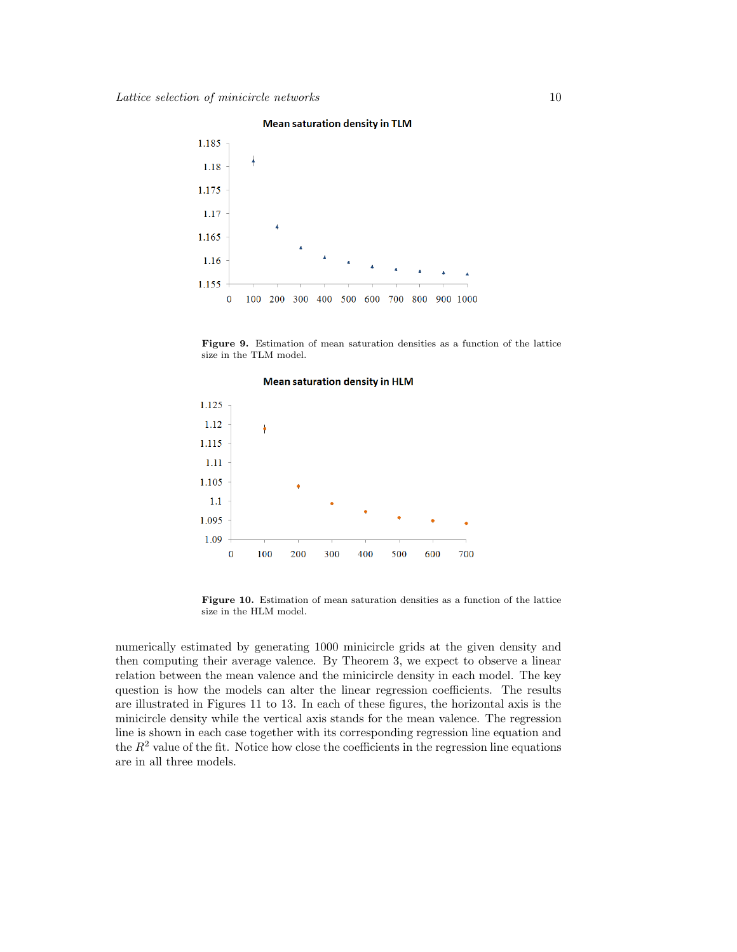#### **Mean saturation density in TLM**



Figure 9. Estimation of mean saturation densities as a function of the lattice size in the TLM model.



Figure 10. Estimation of mean saturation densities as a function of the lattice size in the HLM model.

numerically estimated by generating 1000 minicircle grids at the given density and then computing their average valence. By Theorem 3, we expect to observe a linear relation between the mean valence and the minicircle density in each model. The key question is how the models can alter the linear regression coefficients. The results are illustrated in Figures 11 to 13. In each of these figures, the horizontal axis is the minicircle density while the vertical axis stands for the mean valence. The regression line is shown in each case together with its corresponding regression line equation and the  $R<sup>2</sup>$  value of the fit. Notice how close the coefficients in the regression line equations are in all three models.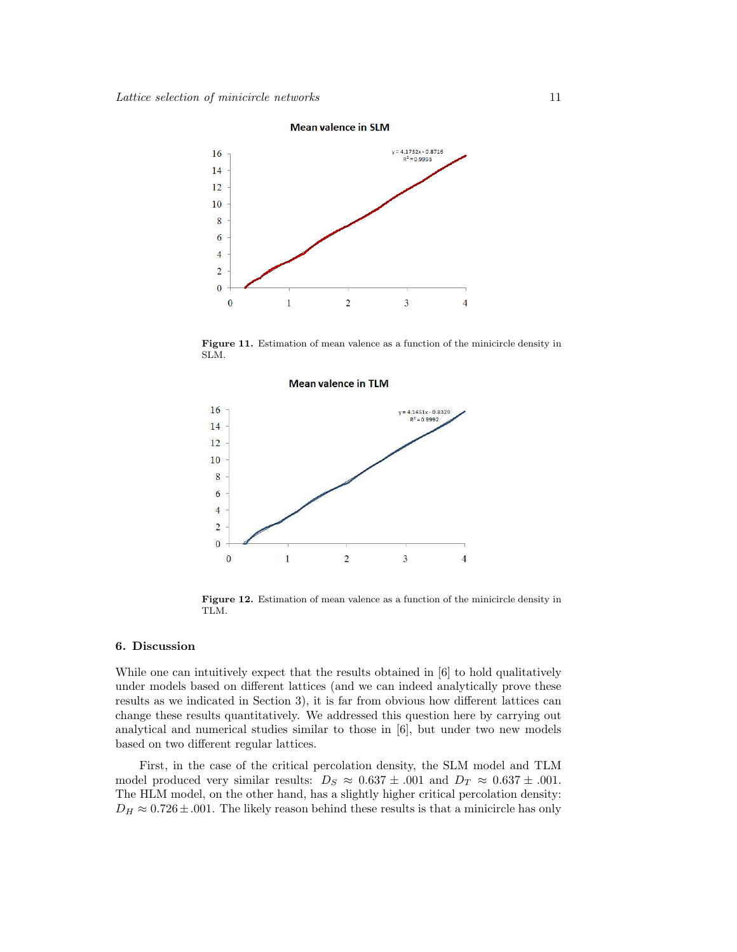

Figure 11. Estimation of mean valence as a function of the minicircle density in SLM.

#### **Mean valence in TLM**



Figure 12. Estimation of mean valence as a function of the minicircle density in TLM.

# 6. Discussion

While one can intuitively expect that the results obtained in [6] to hold qualitatively under models based on different lattices (and we can indeed analytically prove these results as we indicated in Section 3), it is far from obvious how different lattices can change these results quantitatively. We addressed this question here by carrying out analytical and numerical studies similar to those in [6], but under two new models based on two different regular lattices.

First, in the case of the critical percolation density, the SLM model and TLM model produced very similar results:  $D_S \approx 0.637 \pm .001$  and  $D_T \approx 0.637 \pm .001$ . The HLM model, on the other hand, has a slightly higher critical percolation density:  $D_H \approx 0.726 \pm .001$ . The likely reason behind these results is that a minicircle has only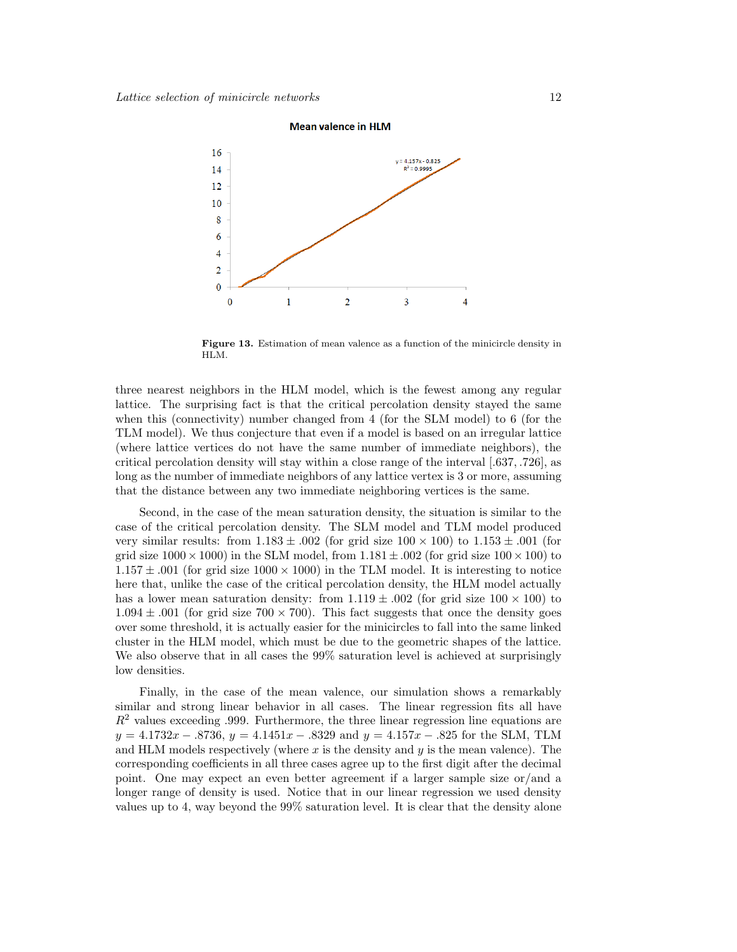

Figure 13. Estimation of mean valence as a function of the minicircle density in HLM.

three nearest neighbors in the HLM model, which is the fewest among any regular lattice. The surprising fact is that the critical percolation density stayed the same when this (connectivity) number changed from 4 (for the SLM model) to 6 (for the TLM model). We thus conjecture that even if a model is based on an irregular lattice (where lattice vertices do not have the same number of immediate neighbors), the critical percolation density will stay within a close range of the interval [.637, .726], as long as the number of immediate neighbors of any lattice vertex is 3 or more, assuming that the distance between any two immediate neighboring vertices is the same.

Second, in the case of the mean saturation density, the situation is similar to the case of the critical percolation density. The SLM model and TLM model produced very similar results: from  $1.183 \pm .002$  (for grid size  $100 \times 100$ ) to  $1.153 \pm .001$  (for grid size  $1000 \times 1000$ ) in the SLM model, from  $1.181 \pm .002$  (for grid size  $100 \times 100$ ) to  $1.157 \pm .001$  (for grid size  $1000 \times 1000$ ) in the TLM model. It is interesting to notice here that, unlike the case of the critical percolation density, the HLM model actually has a lower mean saturation density: from  $1.119 \pm .002$  (for grid size  $100 \times 100$ ) to  $1.094 \pm .001$  (for grid size 700 × 700). This fact suggests that once the density goes over some threshold, it is actually easier for the minicircles to fall into the same linked cluster in the HLM model, which must be due to the geometric shapes of the lattice. We also observe that in all cases the 99% saturation level is achieved at surprisingly low densities.

Finally, in the case of the mean valence, our simulation shows a remarkably similar and strong linear behavior in all cases. The linear regression fits all have  $R<sup>2</sup>$  values exceeding .999. Furthermore, the three linear regression line equations are  $y = 4.1732x - .8736$ ,  $y = 4.1451x - .8329$  and  $y = 4.157x - .825$  for the SLM, TLM and HLM models respectively (where  $x$  is the density and  $y$  is the mean valence). The corresponding coefficients in all three cases agree up to the first digit after the decimal point. One may expect an even better agreement if a larger sample size or/and a longer range of density is used. Notice that in our linear regression we used density values up to 4, way beyond the 99% saturation level. It is clear that the density alone